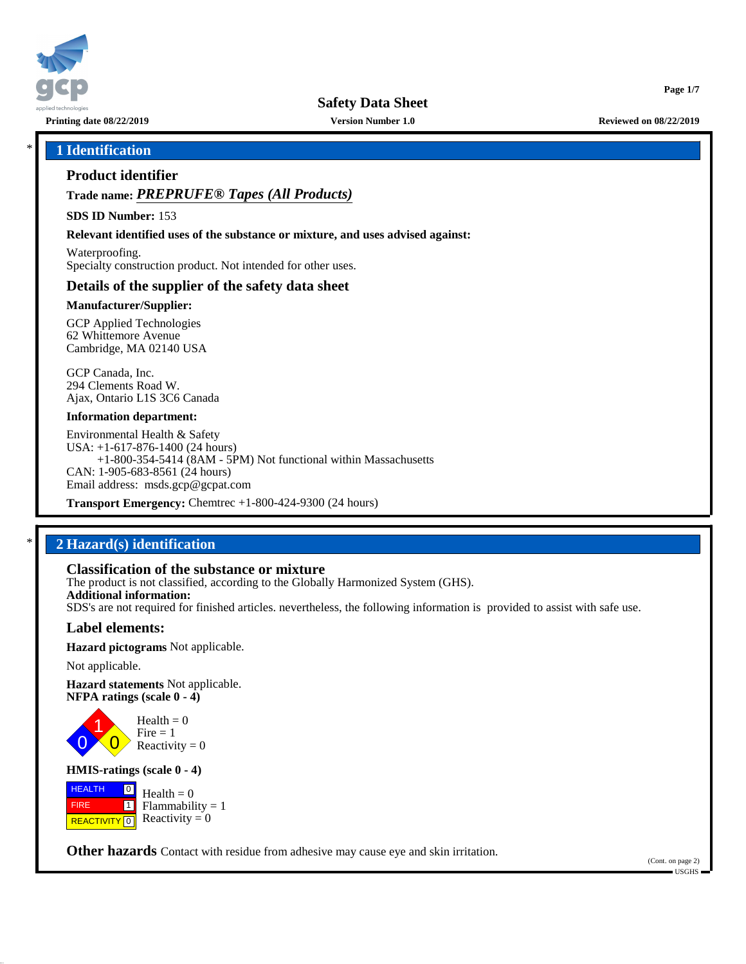

**Safety Data Sheet**

**Printing date 08/22/2019 Version Number 1.0 Reviewed on 08/22/2019**

## \* **1 Identification**

### **Product identifier**

**Trade name:** *PREPRUFE® Tapes (All Products)*

**SDS ID Number:** 153

**Relevant identified uses of the substance or mixture, and uses advised against:**

Waterproofing. Specialty construction product. Not intended for other uses.

### **Details of the supplier of the safety data sheet**

### **Manufacturer/Supplier:**

GCP Applied Technologies 62 Whittemore Avenue Cambridge, MA 02140 USA

GCP Canada, Inc. 294 Clements Road W. Ajax, Ontario L1S 3C6 Canada

#### **Information department:**

Environmental Health & Safety USA: +1-617-876-1400 (24 hours) +1-800-354-5414 (8AM - 5PM) Not functional within Massachusetts CAN: 1-905-683-8561 (24 hours) Email address: msds.gcp@gcpat.com

**Transport Emergency:** Chemtrec +1-800-424-9300 (24 hours)

## \* **2 Hazard(s) identification**

### **Classification of the substance or mixture**

The product is not classified, according to the Globally Harmonized System (GHS). **Additional information:** SDS's are not required for finished articles. nevertheless, the following information is provided to assist with safe use.

### **Label elements:**

**Hazard pictograms** Not applicable.

Not applicable.

0 1

**Hazard statements** Not applicable. **NFPA ratings (scale 0 - 4)**

> $\overline{\mathbf{0}}$  $Health = 0$  $Fire = 1$ Reactivity  $= 0$

### **HMIS-ratings (scale 0 - 4)**

 HEALTH FIRE **REACTIVITY** 0  $\boxed{0}$  $\overline{\mathbf{1}}$  $Health = 0$  $Flammability = 1$ Reactivity  $= 0$ 

**Other hazards** Contact with residue from adhesive may cause eye and skin irritation.

(Cont. on page 2) USGHS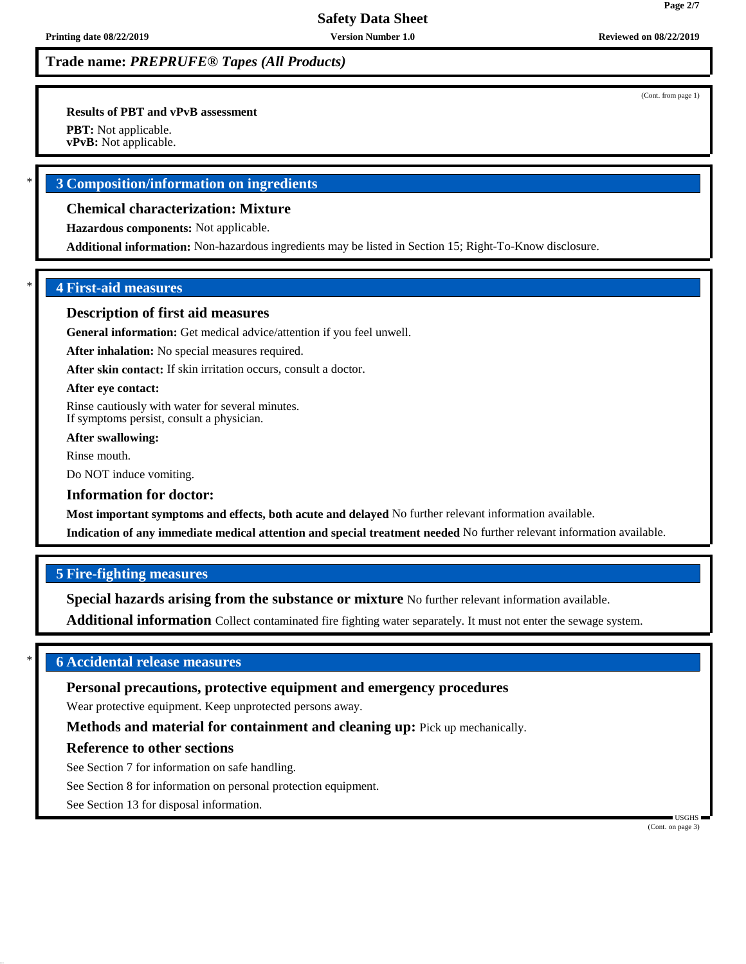**Results of PBT and vPvB assessment**

**PBT:** Not applicable.

**vPvB:** Not applicable.

## \* **3 Composition/information on ingredients**

## **Chemical characterization: Mixture**

**Hazardous components:** Not applicable.

**Additional information:** Non-hazardous ingredients may be listed in Section 15; Right-To-Know disclosure.

## \* **4 First-aid measures**

### **Description of first aid measures**

**General information:** Get medical advice/attention if you feel unwell.

**After inhalation:** No special measures required.

**After skin contact:** If skin irritation occurs, consult a doctor.

### **After eye contact:**

Rinse cautiously with water for several minutes. If symptoms persist, consult a physician.

**After swallowing:**

Rinse mouth.

Do NOT induce vomiting.

### **Information for doctor:**

**Most important symptoms and effects, both acute and delayed** No further relevant information available.

**Indication of any immediate medical attention and special treatment needed** No further relevant information available.

### **5 Fire-fighting measures**

**Special hazards arising from the substance or mixture** No further relevant information available.

**Additional information** Collect contaminated fire fighting water separately. It must not enter the sewage system.

## \* **6 Accidental release measures**

### **Personal precautions, protective equipment and emergency procedures**

Wear protective equipment. Keep unprotected persons away.

**Methods and material for containment and cleaning up:** Pick up mechanically.

### **Reference to other sections**

See Section 7 for information on safe handling.

See Section 8 for information on personal protection equipment.

See Section 13 for disposal information.

 USGHS (Cont. on page 3)

(Cont. from page 1)

**Page 2/7**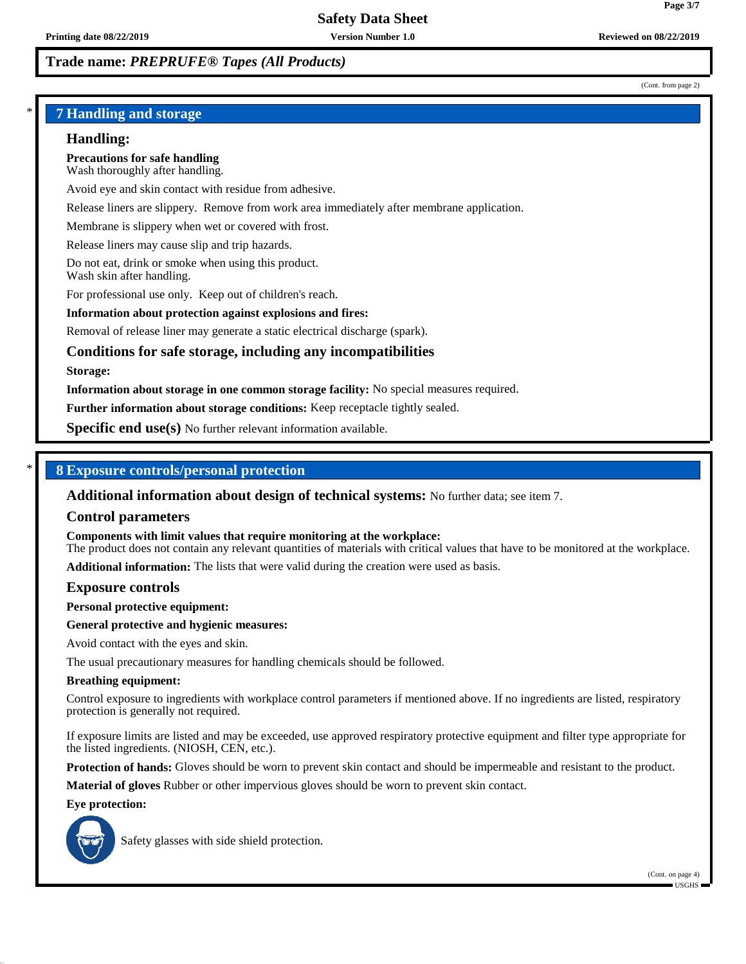(Cont. from page 2)

**Page 3/7**

## \* **7 Handling and storage**

### **Handling:**

**Precautions for safe handling** Wash thoroughly after handling.

Avoid eye and skin contact with residue from adhesive.

Release liners are slippery. Remove from work area immediately after membrane application.

Membrane is slippery when wet or covered with frost.

Release liners may cause slip and trip hazards.

Do not eat, drink or smoke when using this product. Wash skin after handling.

For professional use only. Keep out of children's reach.

### **Information about protection against explosions and fires:**

Removal of release liner may generate a static electrical discharge (spark).

## **Conditions for safe storage, including any incompatibilities**

#### **Storage:**

**Information about storage in one common storage facility:** No special measures required.

**Further information about storage conditions:** Keep receptacle tightly sealed.

**Specific end use(s)** No further relevant information available.

### \* **8 Exposure controls/personal protection**

**Additional information about design of technical systems:** No further data; see item 7.

#### **Control parameters**

**Components with limit values that require monitoring at the workplace:**

The product does not contain any relevant quantities of materials with critical values that have to be monitored at the workplace.

**Additional information:** The lists that were valid during the creation were used as basis.

#### **Exposure controls**

**Personal protective equipment:**

### **General protective and hygienic measures:**

Avoid contact with the eyes and skin.

The usual precautionary measures for handling chemicals should be followed.

#### **Breathing equipment:**

Control exposure to ingredients with workplace control parameters if mentioned above. If no ingredients are listed, respiratory protection is generally not required.

If exposure limits are listed and may be exceeded, use approved respiratory protective equipment and filter type appropriate for the listed ingredients. (NIOSH, CEN, etc.).

**Protection of hands:** Gloves should be worn to prevent skin contact and should be impermeable and resistant to the product.

**Material of gloves** Rubber or other impervious gloves should be worn to prevent skin contact.

**Eye protection:**



Safety glasses with side shield protection.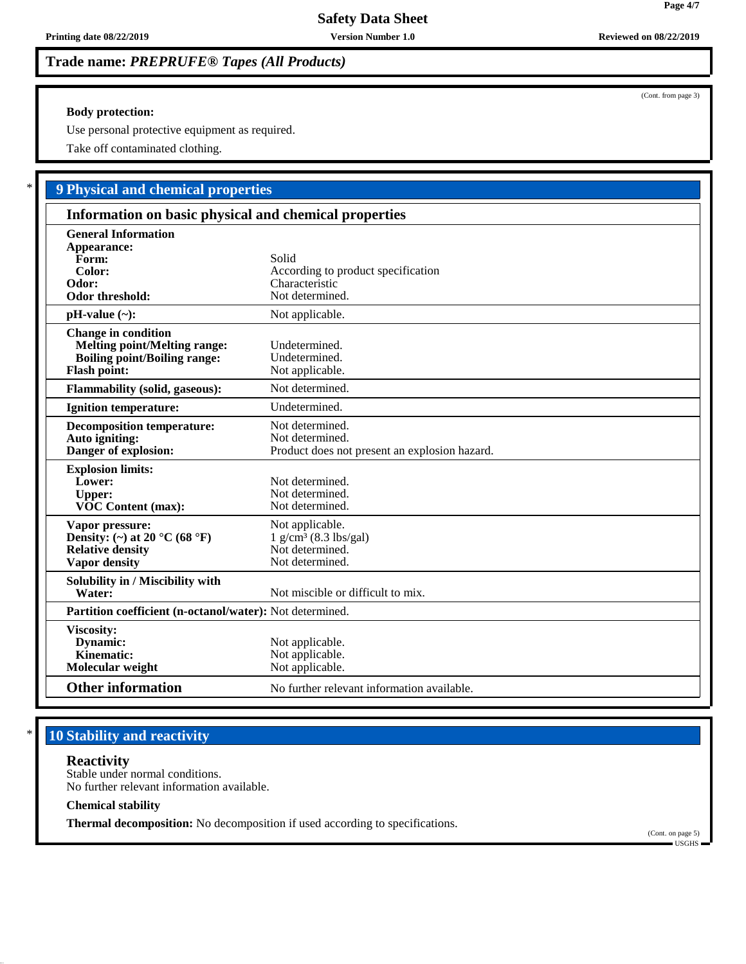### **Body protection:**

Use personal protective equipment as required.

Take off contaminated clothing.

# \* **9 Physical and chemical properties**

| Information on basic physical and chemical properties                                                                           |                                                                                              |  |
|---------------------------------------------------------------------------------------------------------------------------------|----------------------------------------------------------------------------------------------|--|
| <b>General Information</b><br>Appearance:<br>Form:<br>Color:<br>Odor:<br><b>Odor threshold:</b>                                 | Solid<br>According to product specification<br>Characteristic<br>Not determined.             |  |
| $pH-value (\sim):$                                                                                                              | Not applicable.                                                                              |  |
| <b>Change in condition</b><br><b>Melting point/Melting range:</b><br><b>Boiling point/Boiling range:</b><br><b>Flash point:</b> | Undetermined.<br>Undetermined.<br>Not applicable.                                            |  |
| <b>Flammability (solid, gaseous):</b>                                                                                           | Not determined.                                                                              |  |
| <b>Ignition temperature:</b>                                                                                                    | Undetermined.                                                                                |  |
| <b>Decomposition temperature:</b><br>Auto igniting:<br>Danger of explosion:                                                     | Not determined.<br>Not determined.<br>Product does not present an explosion hazard.          |  |
| <b>Explosion limits:</b><br>Lower:<br><b>Upper:</b><br><b>VOC Content (max):</b>                                                | Not determined.<br>Not determined.<br>Not determined.                                        |  |
| Vapor pressure:<br>Density: (~) at 20 $^{\circ}$ C (68 $^{\circ}$ F)<br><b>Relative density</b><br><b>Vapor density</b>         | Not applicable.<br>$1$ g/cm <sup>3</sup> (8.3 lbs/gal)<br>Not determined.<br>Not determined. |  |
| Solubility in / Miscibility with<br>Water:                                                                                      | Not miscible or difficult to mix.                                                            |  |
| Partition coefficient (n-octanol/water): Not determined.                                                                        |                                                                                              |  |
| Viscosity:<br>Dynamic:<br>Kinematic:<br>Molecular weight                                                                        | Not applicable.<br>Not applicable.<br>Not applicable.                                        |  |
| <b>Other information</b>                                                                                                        | No further relevant information available.                                                   |  |

# **10 Stability and reactivity**

## **Reactivity**

Stable under normal conditions. No further relevant information available.

### **Chemical stability**

**Thermal decomposition:** No decomposition if used according to specifications.

(Cont. on page 5) USGHS

(Cont. from page 3)

**Page 4/7**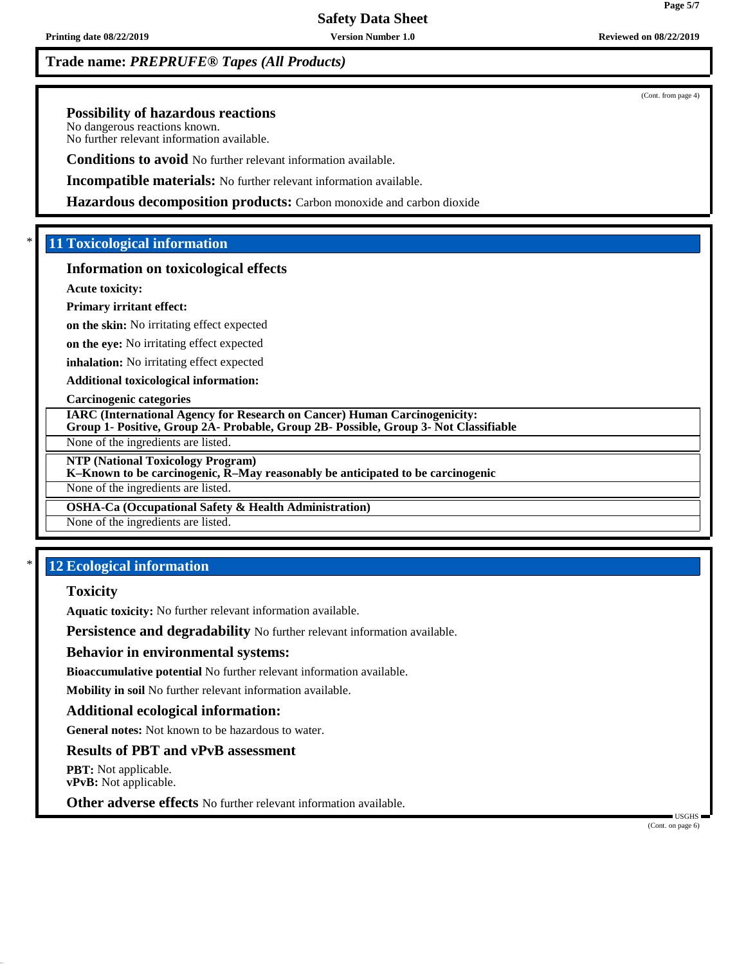**Printing date 08/22/2019 Version Number 1.0 Reviewed on 08/22/2019**

# **Trade name:** *PREPRUFE® Tapes (All Products)*

**Possibility of hazardous reactions**

No dangerous reactions known. No further relevant information available.

**Conditions to avoid** No further relevant information available.

**Incompatible materials:** No further relevant information available.

**Hazardous decomposition products:** Carbon monoxide and carbon dioxide

# \* **11 Toxicological information**

## **Information on toxicological effects**

**Acute toxicity:**

## **Primary irritant effect:**

**on the skin:** No irritating effect expected

**on the eye:** No irritating effect expected

**inhalation:** No irritating effect expected

**Additional toxicological information:**

**Carcinogenic categories**

**IARC (International Agency for Research on Cancer) Human Carcinogenicity: Group 1- Positive, Group 2A- Probable, Group 2B- Possible, Group 3- Not Classifiable**

None of the ingredients are listed.

**NTP (National Toxicology Program)**

**K–Known to be carcinogenic, R–May reasonably be anticipated to be carcinogenic**

None of the ingredients are listed.

**OSHA-Ca (Occupational Safety & Health Administration)**

None of the ingredients are listed.

# **12 Ecological information**

## **Toxicity**

**Aquatic toxicity:** No further relevant information available.

**Persistence and degradability** No further relevant information available.

## **Behavior in environmental systems:**

**Bioaccumulative potential** No further relevant information available.

**Mobility in soil** No further relevant information available.

# **Additional ecological information:**

**General notes:** Not known to be hazardous to water.

# **Results of PBT and vPvB assessment**

**PBT:** Not applicable. **vPvB:** Not applicable.

**Other adverse effects** No further relevant information available.

 USGHS (Cont. on page 6)

(Cont. from page 4)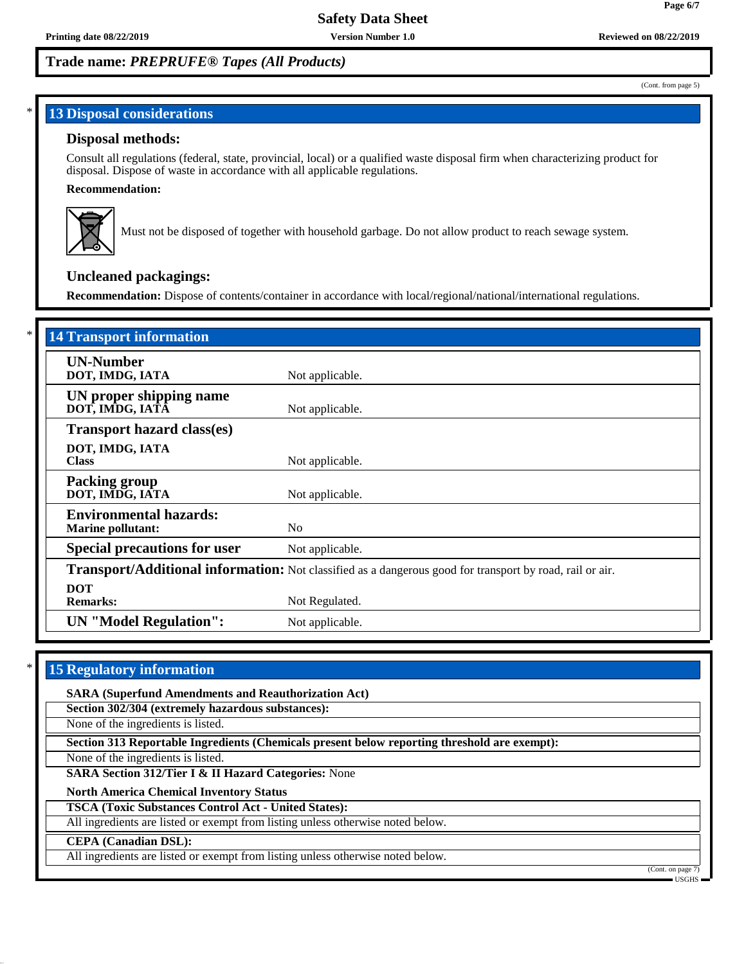## **13 Disposal considerations**

### **Disposal methods:**

Consult all regulations (federal, state, provincial, local) or a qualified waste disposal firm when characterizing product for disposal. Dispose of waste in accordance with all applicable regulations.

### **Recommendation:**



Must not be disposed of together with household garbage. Do not allow product to reach sewage system.

## **Uncleaned packagings:**

**Recommendation:** Dispose of contents/container in accordance with local/regional/national/international regulations.

| <b>14 Transport information</b>                           |                                                                                                          |
|-----------------------------------------------------------|----------------------------------------------------------------------------------------------------------|
| <b>UN-Number</b><br>DOT, IMDG, IATA                       | Not applicable.                                                                                          |
| UN proper shipping name<br>DOT, IMDG, IATA                | Not applicable.                                                                                          |
| <b>Transport hazard class(es)</b>                         |                                                                                                          |
| DOT, IMDG, IATA<br><b>Class</b>                           | Not applicable.                                                                                          |
| <b>Packing group</b><br>DOT, IMDG, IATA                   | Not applicable.                                                                                          |
| <b>Environmental hazards:</b><br><b>Marine pollutant:</b> | N <sub>0</sub>                                                                                           |
| <b>Special precautions for user</b>                       | Not applicable.                                                                                          |
|                                                           | Transport/Additional information: Not classified as a dangerous good for transport by road, rail or air. |
| <b>DOT</b><br><b>Remarks:</b>                             | Not Regulated.                                                                                           |
| <b>UN</b> "Model Regulation":                             | Not applicable.                                                                                          |

## **15 Regulatory information**

**SARA (Superfund Amendments and Reauthorization Act)**

**Section 302/304 (extremely hazardous substances):**

None of the ingredients is listed.

**Section 313 Reportable Ingredients (Chemicals present below reporting threshold are exempt):**

None of the ingredients is listed.

**SARA Section 312/Tier I & II Hazard Categories:** None

**North America Chemical Inventory Status**

**TSCA (Toxic Substances Control Act - United States):**

All ingredients are listed or exempt from listing unless otherwise noted below.

#### **CEPA (Canadian DSL):**

All ingredients are listed or exempt from listing unless otherwise noted below.

(Cont. on page USGHS

(Cont. from page 5)

**Page 6/7**